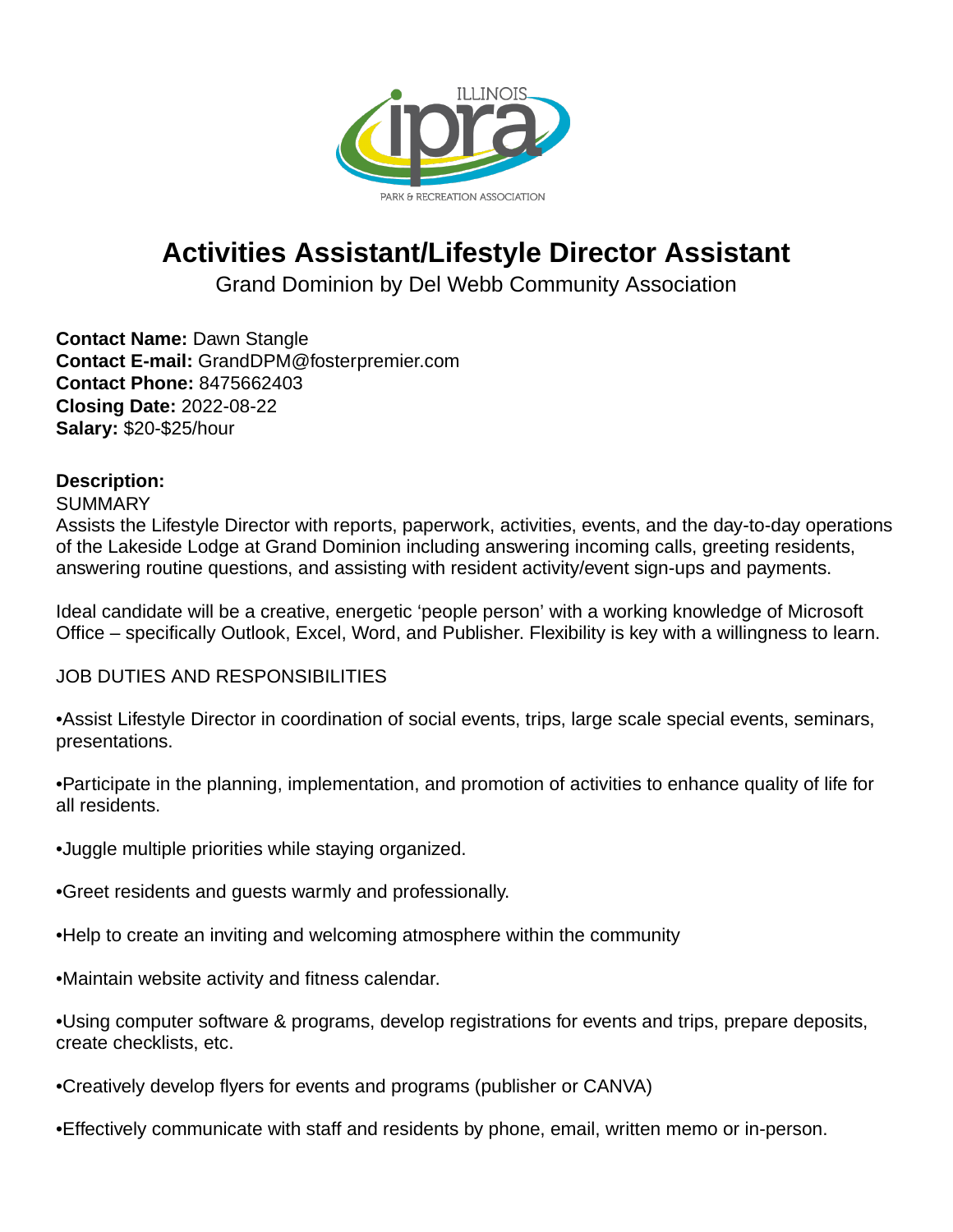

# **Activities Assistant/Lifestyle Director Assistant**

Grand Dominion by Del Webb Community Association

**Contact Name:** Dawn Stangle **Contact E-mail:** GrandDPM@fosterpremier.com **Contact Phone:** 8475662403 **Closing Date:** 2022-08-22 **Salary:** \$20-\$25/hour

## **Description:**

### **SUMMARY**

Assists the Lifestyle Director with reports, paperwork, activities, events, and the day-to-day operations of the Lakeside Lodge at Grand Dominion including answering incoming calls, greeting residents, answering routine questions, and assisting with resident activity/event sign-ups and payments.

Ideal candidate will be a creative, energetic 'people person' with a working knowledge of Microsoft Office – specifically Outlook, Excel, Word, and Publisher. Flexibility is key with a willingness to learn.

## JOB DUTIES AND RESPONSIBILITIES

- Assist Lifestyle Director in coordination of social events, trips, large scale special events, seminars, presentations.
- Participate in the planning, implementation, and promotion of activities to enhance quality of life for all residents.
- Juggle multiple priorities while staying organized.
- Greet residents and quests warmly and professionally.
- Help to create an inviting and welcoming atmosphere within the community
- Maintain website activity and fitness calendar.
- Using computer software & programs, develop registrations for events and trips, prepare deposits, create checklists, etc.
- Creatively develop flyers for events and programs (publisher or CANVA)
- Effectively communicate with staff and residents by phone, email, written memo or in-person.